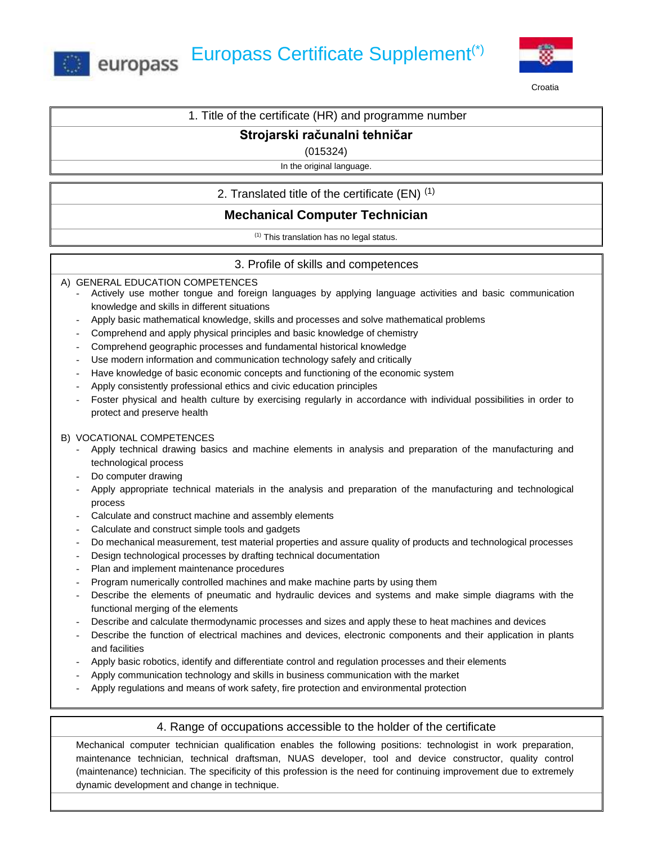



Croatia

## 1. Title of the certificate (HR) and programme number

# **Strojarski računalni tehničar**

(015324)

In the original language.

2. Translated title of the certificate (EN)  $(1)$ 

# **Mechanical Computer Technician**

 $(1)$  This translation has no legal status.

## 3. Profile of skills and competences

A) GENERAL EDUCATION COMPETENCES

- Actively use mother tongue and foreign languages by applying language activities and basic communication knowledge and skills in different situations
- Apply basic mathematical knowledge, skills and processes and solve mathematical problems
- Comprehend and apply physical principles and basic knowledge of chemistry
- Comprehend geographic processes and fundamental historical knowledge
- Use modern information and communication technology safely and critically
- Have knowledge of basic economic concepts and functioning of the economic system
- Apply consistently professional ethics and civic education principles
- Foster physical and health culture by exercising regularly in accordance with individual possibilities in order to protect and preserve health

### B) VOCATIONAL COMPETENCES

- Apply technical drawing basics and machine elements in analysis and preparation of the manufacturing and technological process
- Do computer drawing
- Apply appropriate technical materials in the analysis and preparation of the manufacturing and technological process
- Calculate and construct machine and assembly elements
- Calculate and construct simple tools and gadgets
- Do mechanical measurement, test material properties and assure quality of products and technological processes
- Design technological processes by drafting technical documentation
- Plan and implement maintenance procedures
- Program numerically controlled machines and make machine parts by using them
- Describe the elements of pneumatic and hydraulic devices and systems and make simple diagrams with the functional merging of the elements
- Describe and calculate thermodynamic processes and sizes and apply these to heat machines and devices
- Describe the function of electrical machines and devices, electronic components and their application in plants and facilities
- Apply basic robotics, identify and differentiate control and regulation processes and their elements
- Apply communication technology and skills in business communication with the market
- Apply regulations and means of work safety, fire protection and environmental protection

## 4. Range of occupations accessible to the holder of the certificate

Mechanical computer technician qualification enables the following positions: technologist in work preparation, maintenance technician, technical draftsman, NUAS developer, tool and device constructor, quality control (maintenance) technician. The specificity of this profession is the need for continuing improvement due to extremely dynamic development and change in technique.